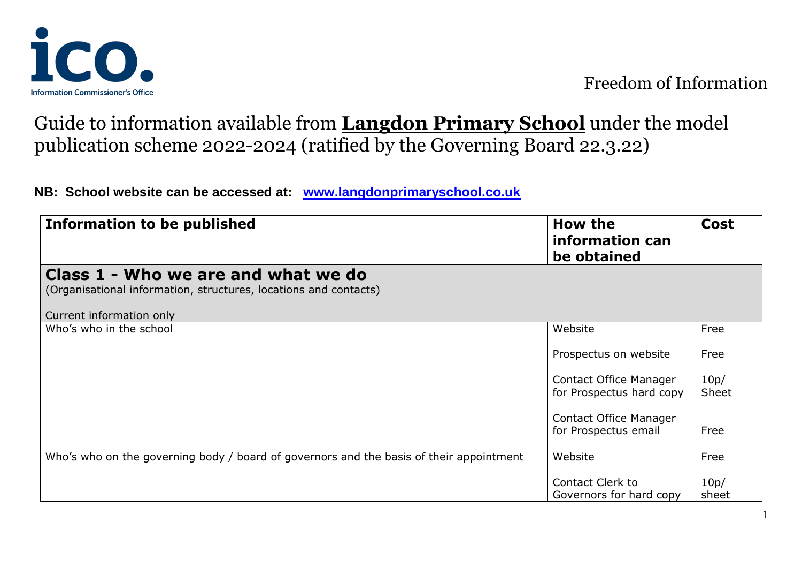

## Guide to information available from **Langdon Primary School** under the model publication scheme 2022-2024 (ratified by the Governing Board 22.3.22)

**NB: School website can be accessed at: [www.langdonprimaryschool.co.uk](http://www.langdonprimaryschool.co.uk/)**

| Information to be published                                                                                                         | How the<br>information can<br>be obtained          | <b>Cost</b>   |
|-------------------------------------------------------------------------------------------------------------------------------------|----------------------------------------------------|---------------|
| Class 1 - Who we are and what we do<br>(Organisational information, structures, locations and contacts)<br>Current information only |                                                    |               |
| Who's who in the school                                                                                                             | Website                                            | Free          |
|                                                                                                                                     | Prospectus on website                              | Free          |
|                                                                                                                                     | Contact Office Manager<br>for Prospectus hard copy | 10p/<br>Sheet |
|                                                                                                                                     | Contact Office Manager<br>for Prospectus email     | Free          |
| Who's who on the governing body / board of governors and the basis of their appointment                                             | Website                                            | Free          |
|                                                                                                                                     | Contact Clerk to<br>Governors for hard copy        | 10p/<br>sheet |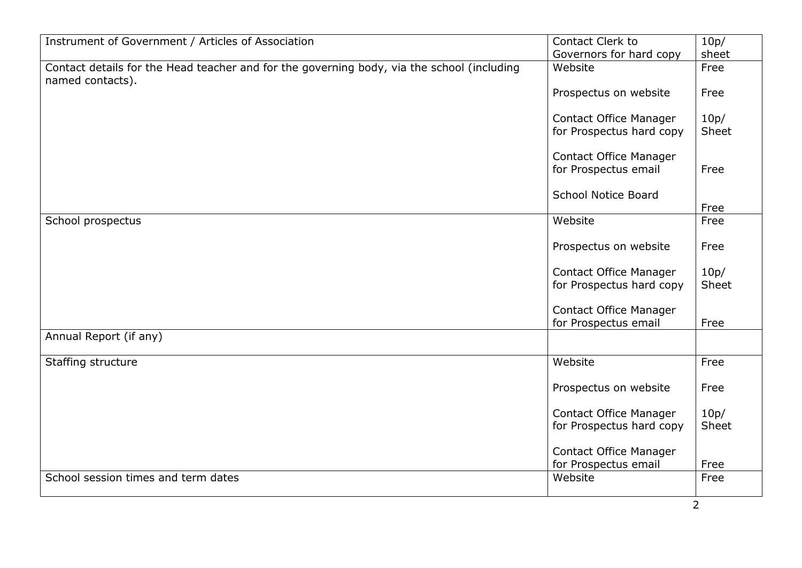| Instrument of Government / Articles of Association                                                             | Contact Clerk to              | 10p/  |
|----------------------------------------------------------------------------------------------------------------|-------------------------------|-------|
|                                                                                                                | Governors for hard copy       | sheet |
| Contact details for the Head teacher and for the governing body, via the school (including<br>named contacts). | Website                       | Free  |
|                                                                                                                | Prospectus on website         | Free  |
|                                                                                                                | <b>Contact Office Manager</b> | 10p/  |
|                                                                                                                | for Prospectus hard copy      | Sheet |
|                                                                                                                | <b>Contact Office Manager</b> |       |
|                                                                                                                | for Prospectus email          | Free  |
|                                                                                                                | <b>School Notice Board</b>    | Free  |
|                                                                                                                | Website                       | Free  |
| School prospectus                                                                                              |                               |       |
|                                                                                                                | Prospectus on website         | Free  |
|                                                                                                                | <b>Contact Office Manager</b> | 10p/  |
|                                                                                                                | for Prospectus hard copy      | Sheet |
|                                                                                                                |                               |       |
|                                                                                                                | <b>Contact Office Manager</b> |       |
|                                                                                                                | for Prospectus email          | Free  |
| Annual Report (if any)                                                                                         |                               |       |
| Staffing structure                                                                                             | Website                       | Free  |
|                                                                                                                | Prospectus on website         | Free  |
|                                                                                                                | <b>Contact Office Manager</b> | 10p/  |
|                                                                                                                | for Prospectus hard copy      | Sheet |
|                                                                                                                |                               |       |
|                                                                                                                | <b>Contact Office Manager</b> |       |
|                                                                                                                | for Prospectus email          | Free  |
| School session times and term dates                                                                            | Website                       | Free  |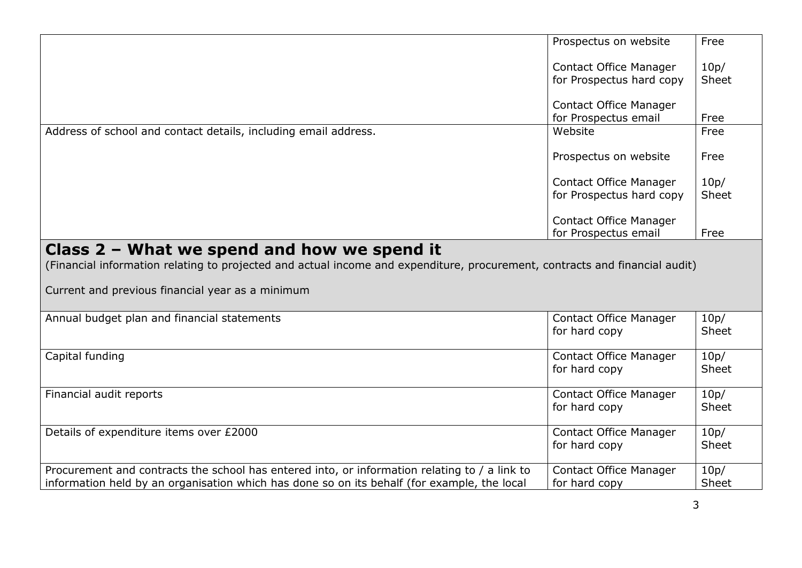|                                                                                                                                                                                              | Prospectus on website                          | Free          |
|----------------------------------------------------------------------------------------------------------------------------------------------------------------------------------------------|------------------------------------------------|---------------|
|                                                                                                                                                                                              | Contact Office Manager                         | 10p/          |
|                                                                                                                                                                                              | for Prospectus hard copy                       | Sheet         |
|                                                                                                                                                                                              | Contact Office Manager                         |               |
|                                                                                                                                                                                              | for Prospectus email                           | Free          |
| Address of school and contact details, including email address.                                                                                                                              | Website                                        | Free          |
|                                                                                                                                                                                              | Prospectus on website                          | Free          |
|                                                                                                                                                                                              | <b>Contact Office Manager</b>                  | 10p/          |
|                                                                                                                                                                                              | for Prospectus hard copy                       | Sheet         |
|                                                                                                                                                                                              | <b>Contact Office Manager</b>                  |               |
|                                                                                                                                                                                              | for Prospectus email                           | Free          |
| Current and previous financial year as a minimum                                                                                                                                             |                                                |               |
| Annual budget plan and financial statements                                                                                                                                                  | <b>Contact Office Manager</b><br>for hard copy | 10p/<br>Sheet |
| Capital funding                                                                                                                                                                              | Contact Office Manager<br>for hard copy        | 10p/<br>Sheet |
| Financial audit reports                                                                                                                                                                      | <b>Contact Office Manager</b><br>for hard copy | 10p/<br>Sheet |
| Details of expenditure items over £2000                                                                                                                                                      | <b>Contact Office Manager</b><br>for hard copy | 10p/<br>Sheet |
| Procurement and contracts the school has entered into, or information relating to / a link to<br>information held by an organisation which has done so on its behalf (for example, the local | <b>Contact Office Manager</b><br>for hard copy | 10p/<br>Sheet |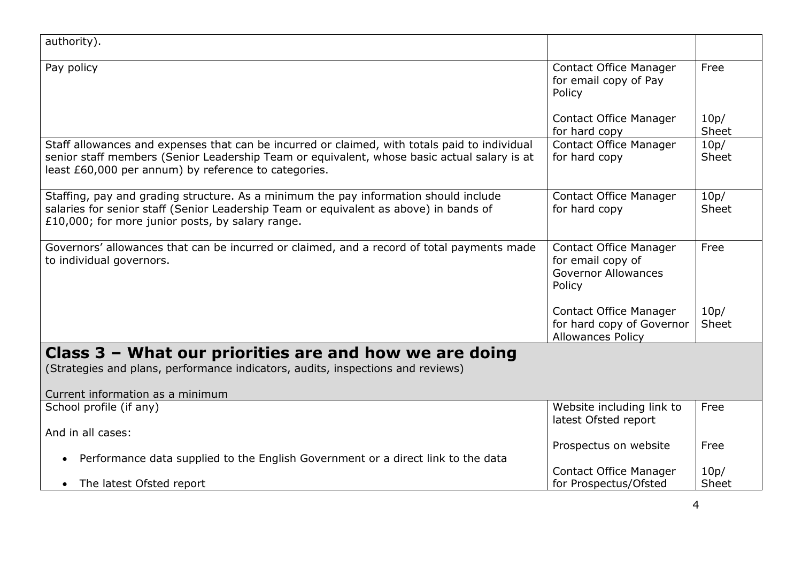| authority).                                                                                                                                                                                                                                          |                                                                                            |               |
|------------------------------------------------------------------------------------------------------------------------------------------------------------------------------------------------------------------------------------------------------|--------------------------------------------------------------------------------------------|---------------|
| Pay policy                                                                                                                                                                                                                                           | <b>Contact Office Manager</b><br>for email copy of Pay<br>Policy                           | Free          |
|                                                                                                                                                                                                                                                      | <b>Contact Office Manager</b><br>for hard copy                                             | 10p/<br>Sheet |
| Staff allowances and expenses that can be incurred or claimed, with totals paid to individual<br>senior staff members (Senior Leadership Team or equivalent, whose basic actual salary is at<br>least £60,000 per annum) by reference to categories. | <b>Contact Office Manager</b><br>for hard copy                                             | 10p/<br>Sheet |
| Staffing, pay and grading structure. As a minimum the pay information should include<br>salaries for senior staff (Senior Leadership Team or equivalent as above) in bands of<br>£10,000; for more junior posts, by salary range.                    | Contact Office Manager<br>for hard copy                                                    | 10p/<br>Sheet |
| Governors' allowances that can be incurred or claimed, and a record of total payments made<br>to individual governors.                                                                                                                               | <b>Contact Office Manager</b><br>for email copy of<br><b>Governor Allowances</b><br>Policy | Free          |
|                                                                                                                                                                                                                                                      | <b>Contact Office Manager</b><br>for hard copy of Governor<br><b>Allowances Policy</b>     | 10p/<br>Sheet |
| Class 3 - What our priorities are and how we are doing                                                                                                                                                                                               |                                                                                            |               |
| (Strategies and plans, performance indicators, audits, inspections and reviews)                                                                                                                                                                      |                                                                                            |               |
| Current information as a minimum                                                                                                                                                                                                                     |                                                                                            |               |
| School profile (if any)                                                                                                                                                                                                                              | Website including link to<br>latest Ofsted report                                          | Free          |
| And in all cases:                                                                                                                                                                                                                                    |                                                                                            |               |
| Performance data supplied to the English Government or a direct link to the data<br>$\bullet$                                                                                                                                                        | Prospectus on website                                                                      | Free          |
| $\bullet$                                                                                                                                                                                                                                            | <b>Contact Office Manager</b>                                                              | 10p/<br>Sheet |
| The latest Ofsted report                                                                                                                                                                                                                             | for Prospectus/Ofsted                                                                      |               |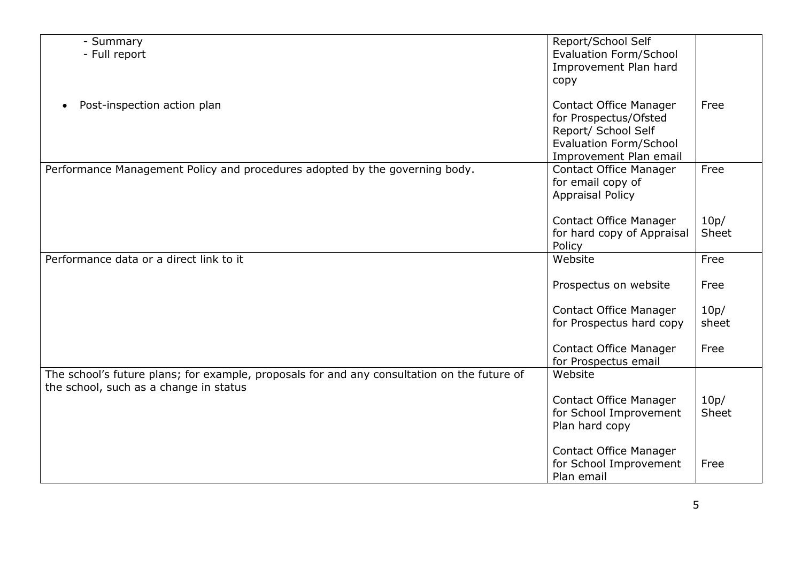| - Summary                                                                                   | Report/School Self            |              |
|---------------------------------------------------------------------------------------------|-------------------------------|--------------|
| - Full report                                                                               | <b>Evaluation Form/School</b> |              |
|                                                                                             | Improvement Plan hard         |              |
|                                                                                             |                               |              |
|                                                                                             | copy                          |              |
| Post-inspection action plan<br>$\bullet$                                                    | <b>Contact Office Manager</b> | Free         |
|                                                                                             | for Prospectus/Ofsted         |              |
|                                                                                             | Report/ School Self           |              |
|                                                                                             | Evaluation Form/School        |              |
|                                                                                             | Improvement Plan email        |              |
| Performance Management Policy and procedures adopted by the governing body.                 | <b>Contact Office Manager</b> | Free         |
|                                                                                             | for email copy of             |              |
|                                                                                             | <b>Appraisal Policy</b>       |              |
|                                                                                             |                               |              |
|                                                                                             | <b>Contact Office Manager</b> | 10p/         |
|                                                                                             | for hard copy of Appraisal    | Sheet        |
|                                                                                             | Policy                        |              |
| Performance data or a direct link to it                                                     | Website                       | Free         |
|                                                                                             |                               |              |
|                                                                                             | Prospectus on website         | Free         |
|                                                                                             |                               |              |
|                                                                                             | <b>Contact Office Manager</b> | 10p/         |
|                                                                                             | for Prospectus hard copy      | sheet        |
|                                                                                             |                               |              |
|                                                                                             | <b>Contact Office Manager</b> | Free         |
|                                                                                             | for Prospectus email          |              |
| The school's future plans; for example, proposals for and any consultation on the future of | Website                       |              |
| the school, such as a change in status                                                      |                               |              |
|                                                                                             | <b>Contact Office Manager</b> | 10p/         |
|                                                                                             | for School Improvement        | <b>Sheet</b> |
|                                                                                             | Plan hard copy                |              |
|                                                                                             |                               |              |
|                                                                                             | <b>Contact Office Manager</b> |              |
|                                                                                             | for School Improvement        | Free         |
|                                                                                             | Plan email                    |              |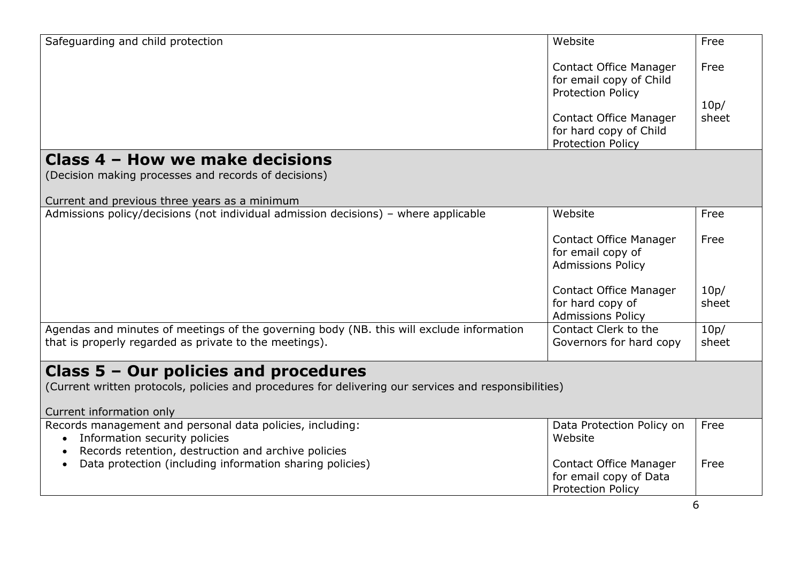| Safeguarding and child protection                                                                                                                                            | Website                                                                              | Free          |
|------------------------------------------------------------------------------------------------------------------------------------------------------------------------------|--------------------------------------------------------------------------------------|---------------|
|                                                                                                                                                                              | <b>Contact Office Manager</b><br>for email copy of Child<br><b>Protection Policy</b> | Free          |
|                                                                                                                                                                              | <b>Contact Office Manager</b><br>for hard copy of Child<br><b>Protection Policy</b>  | 10p/<br>sheet |
| Class 4 - How we make decisions<br>(Decision making processes and records of decisions)<br>Current and previous three years as a minimum                                     |                                                                                      |               |
| Admissions policy/decisions (not individual admission decisions) - where applicable                                                                                          | Website                                                                              | Free          |
|                                                                                                                                                                              | <b>Contact Office Manager</b><br>for email copy of<br><b>Admissions Policy</b>       | Free          |
|                                                                                                                                                                              | <b>Contact Office Manager</b><br>for hard copy of<br><b>Admissions Policy</b>        | 10p/<br>sheet |
| Agendas and minutes of meetings of the governing body (NB. this will exclude information<br>that is properly regarded as private to the meetings).                           | Contact Clerk to the<br>Governors for hard copy                                      | 10p/<br>sheet |
| Class $5 -$ Our policies and procedures<br>(Current written protocols, policies and procedures for delivering our services and responsibilities)<br>Current information only |                                                                                      |               |
| Records management and personal data policies, including:<br>Information security policies<br>$\bullet$<br>Records retention, destruction and archive policies               | Data Protection Policy on<br>Website                                                 | Free          |
| Data protection (including information sharing policies)                                                                                                                     | <b>Contact Office Manager</b><br>for email copy of Data<br><b>Protection Policy</b>  | Free          |
|                                                                                                                                                                              |                                                                                      | 6             |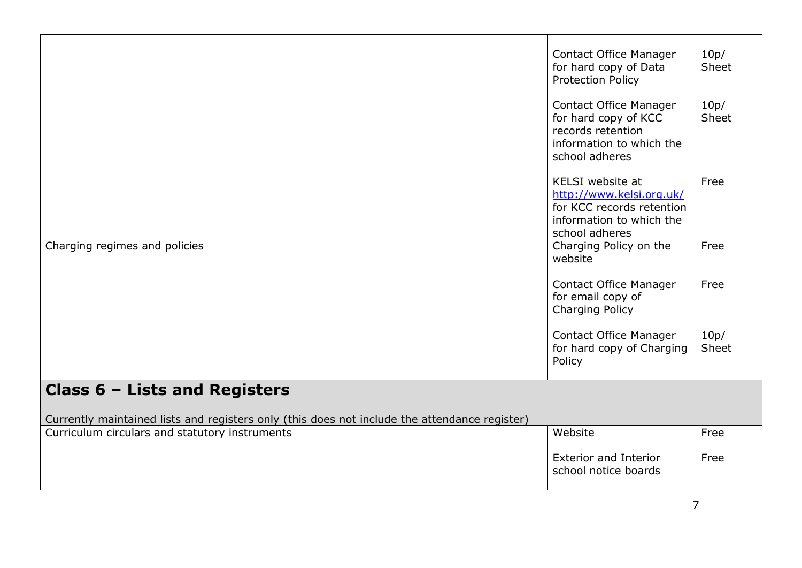|                                                                                               | <b>Contact Office Manager</b><br>for hard copy of Data<br><b>Protection Policy</b>                                       | 10p/<br>Sheet |
|-----------------------------------------------------------------------------------------------|--------------------------------------------------------------------------------------------------------------------------|---------------|
|                                                                                               | <b>Contact Office Manager</b><br>for hard copy of KCC<br>records retention<br>information to which the<br>school adheres | 10p/<br>Sheet |
|                                                                                               | KELSI website at<br>http://www.kelsi.org.uk/<br>for KCC records retention<br>information to which the<br>school adheres  | Free          |
| Charging regimes and policies                                                                 | Charging Policy on the<br>website                                                                                        | Free          |
|                                                                                               | <b>Contact Office Manager</b><br>for email copy of<br>Charging Policy                                                    | Free          |
|                                                                                               | <b>Contact Office Manager</b><br>for hard copy of Charging<br>Policy                                                     | 10p/<br>Sheet |
| Class $6$ – Lists and Registers                                                               |                                                                                                                          |               |
| Currently maintained lists and registers only (this does not include the attendance register) |                                                                                                                          |               |
| Curriculum circulars and statutory instruments                                                | Website                                                                                                                  | Free          |
|                                                                                               | <b>Exterior and Interior</b><br>school notice boards                                                                     | Free          |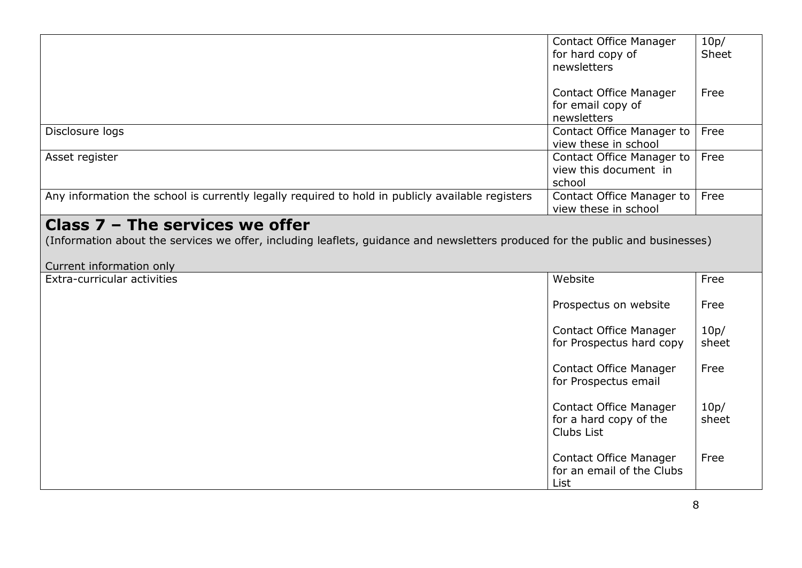|                                                                                                                                                                                                 | <b>Contact Office Manager</b><br>for hard copy of<br>newsletters      | 10p/<br>Sheet |
|-------------------------------------------------------------------------------------------------------------------------------------------------------------------------------------------------|-----------------------------------------------------------------------|---------------|
|                                                                                                                                                                                                 | <b>Contact Office Manager</b><br>for email copy of<br>newsletters     | Free          |
| Disclosure logs                                                                                                                                                                                 | Contact Office Manager to<br>view these in school                     | Free          |
| Asset register                                                                                                                                                                                  | Contact Office Manager to<br>view this document in<br>school          | Free          |
| Any information the school is currently legally required to hold in publicly available registers                                                                                                | Contact Office Manager to<br>view these in school                     | Free          |
| Class $7$ – The services we offer<br>(Information about the services we offer, including leaflets, guidance and newsletters produced for the public and businesses)<br>Current information only |                                                                       |               |
| Extra-curricular activities                                                                                                                                                                     | Website                                                               | Free          |
|                                                                                                                                                                                                 | Prospectus on website                                                 | Free          |
|                                                                                                                                                                                                 | <b>Contact Office Manager</b><br>for Prospectus hard copy             | 10p/<br>sheet |
|                                                                                                                                                                                                 | <b>Contact Office Manager</b><br>for Prospectus email                 | Free          |
|                                                                                                                                                                                                 | <b>Contact Office Manager</b><br>for a hard copy of the<br>Clubs List | 10p/<br>sheet |
|                                                                                                                                                                                                 | Contact Office Manager<br>for an email of the Clubs<br>List           | Free          |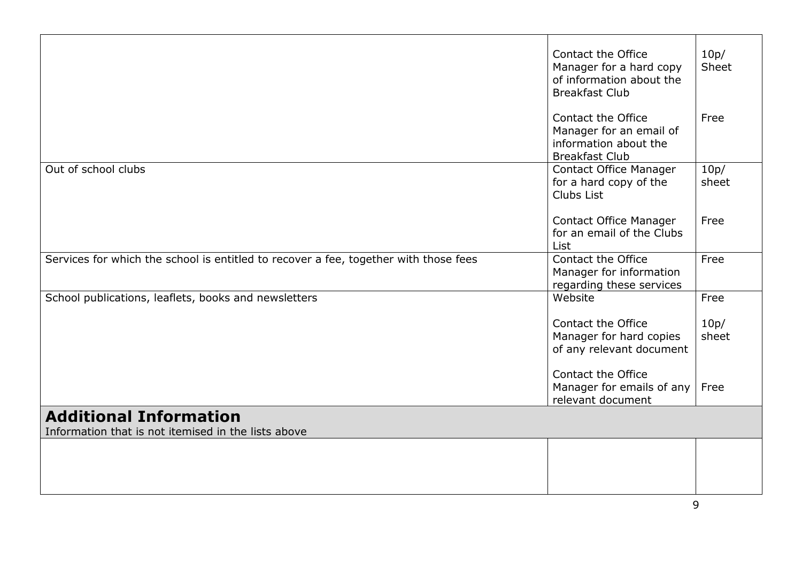|                                                                                      | Contact the Office                                      | 10p/          |
|--------------------------------------------------------------------------------------|---------------------------------------------------------|---------------|
|                                                                                      | Manager for a hard copy                                 | Sheet         |
|                                                                                      | of information about the                                |               |
|                                                                                      | <b>Breakfast Club</b>                                   |               |
|                                                                                      |                                                         |               |
|                                                                                      | Contact the Office                                      | Free          |
|                                                                                      | Manager for an email of                                 |               |
|                                                                                      | information about the                                   |               |
| Out of school clubs                                                                  | <b>Breakfast Club</b>                                   | 10p/          |
|                                                                                      | <b>Contact Office Manager</b><br>for a hard copy of the | sheet         |
|                                                                                      | Clubs List                                              |               |
|                                                                                      |                                                         |               |
|                                                                                      | <b>Contact Office Manager</b>                           | Free          |
|                                                                                      | for an email of the Clubs                               |               |
|                                                                                      | List                                                    |               |
| Services for which the school is entitled to recover a fee, together with those fees | Contact the Office                                      | Free          |
|                                                                                      | Manager for information                                 |               |
|                                                                                      | regarding these services                                |               |
| School publications, leaflets, books and newsletters                                 | Website                                                 | Free          |
|                                                                                      |                                                         |               |
|                                                                                      | Contact the Office                                      | 10p/<br>sheet |
|                                                                                      | Manager for hard copies<br>of any relevant document     |               |
|                                                                                      |                                                         |               |
|                                                                                      | Contact the Office                                      |               |
|                                                                                      | Manager for emails of any                               | Free          |
|                                                                                      | relevant document                                       |               |
| <b>Additional Information</b>                                                        |                                                         |               |
| Information that is not itemised in the lists above                                  |                                                         |               |
|                                                                                      |                                                         |               |
|                                                                                      |                                                         |               |
|                                                                                      |                                                         |               |
|                                                                                      |                                                         |               |